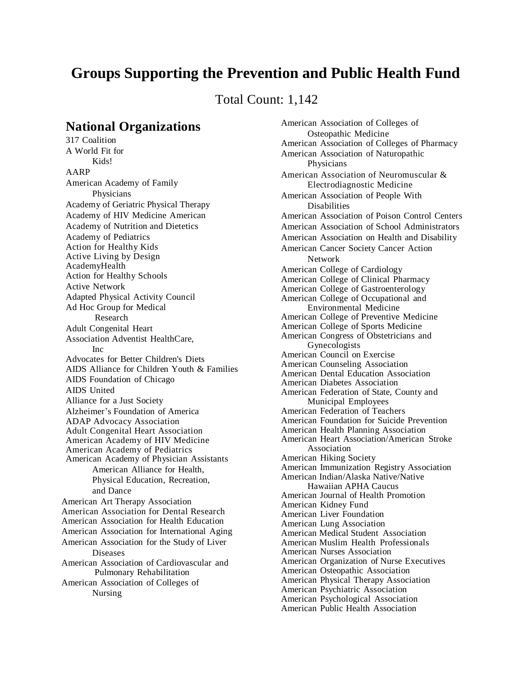# **Groups Supporting the Prevention and Public Health Fund**

Total Count: 1,142

## **National Organizations**

317 Coalition A World Fit for Kids! AARP American Academy of Family **Physicians** Academy of Geriatric Physical Therapy Academy of HIV Medicine American Academy of Nutrition and Dietetics Academy of Pediatrics Action for Healthy Kids Active Living by Design AcademyHealth Action for Healthy Schools Active Network Adapted Physical Activity Council Ad Hoc Group for Medical Research Adult Congenital Heart Association Adventist HealthCare,  $Inc$ Advocates for Better Children's Diets AIDS Alliance for Children Youth & Families AIDS Foundation of Chicago AIDS United Alliance for a Just Society Alzheimer's Foundation of America ADAP Advocacy Association Adult Congenital Heart Association American Academy of HIV Medicine American Academy of Pediatrics American Academy of Physician Assistants American Alliance for Health, Physical Education, Recreation, and Dance American Art Therapy Association American Association for Dental Research American Association for Health Education American Association for International Aging American Association for the Study of Liver Diseases American Association of Cardiovascular and Pulmonary Rehabilitation American Association of Colleges of Nursing

American Association of Colleges of Osteopathic Medicine American Association of Colleges of Pharmacy American Association of Naturopathic Physicians American Association of Neuromuscular & Electrodiagnostic Medicine American Association of People With **Disabilities** American Association of Poison Control Centers American Association of School Administrators American Association on Health and Disability American Cancer Society Cancer Action Network American College of Cardiology American College of Clinical Pharmacy American College of Gastroenterology American College of Occupational and Environmental Medicine American College of Preventive Medicine American College of Sports Medicine American Congress of Obstetricians and Gynecologists American Council on Exercise American Counseling Association American Dental Education Association American Diabetes Association American Federation of State, County and Municipal Employees American Federation of Teachers American Foundation for Suicide Prevention American Health Planning Association American Heart Association/American Stroke Association American Hiking Society American Immunization Registry Association American Indian/Alaska Native/Native Hawaiian APHA Caucus American Journal of Health Promotion American Kidney Fund American Liver Foundation American Lung Association American Medical Student Association American Muslim Health Professionals American Nurses Association American Organization of Nurse Executives American Osteopathic Association American Physical Therapy Association American Psychiatric Association American Psychological Association American Public Health Association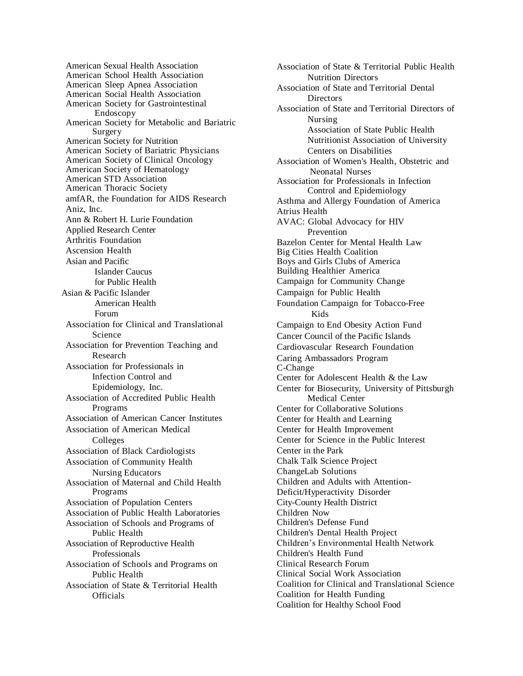American Sexual Health Association American School Health Association American Sleep Apnea Association American Social Health Association American Society for Gastrointestinal Endoscopy American Society for Metabolic and Bariatric Surgery American Society for Nutrition American Society of Bariatric Physicians American Society of Clinical Oncology American Society of Hematology American STD Association American Thoracic Society amfAR, the Foundation for AIDS Research Aniz, Inc. Ann & Robert H. Lurie Foundation Applied Research Center Arthritis Foundation Ascension Health Asian and Pacific Islander Caucus for Public Health Asian & Pacific Islander American Health Forum Association for Clinical and Translational Science Association for Prevention Teaching and Research Association for Professionals in Infection Control and Epidemiology, Inc. Association of Accredited Public Health Programs Association of American Cancer Institutes Association of American Medical Colleges Association of Black Cardiologists Association of Community Health Nursing Educators Association of Maternal and Child Health Programs Association of Population Centers Association of Public Health Laboratories Association of Schools and Programs of Public Health Association of Reproductive Health Professionals Association of Schools and Programs on Public Health Association of State & Territorial Health **Officials** 

Association of State & Territorial Public Health Nutrition Directors Association of State and Territorial Dental **Directors** Association of State and Territorial Directors of Nursing Association of State Public Health Nutritionist Association of University Centers on Disabilities Association of Women's Health, Obstetric and Neonatal Nurses Association for Professionals in Infection Control and Epidemiology Asthma and Allergy Foundation of America Atrius Health AVAC: Global Advocacy for HIV Prevention Bazelon Center for Mental Health Law Big Cities Health Coalition Boys and Girls Clubs of America Building Healthier America Campaign for Community Change Campaign for Public Health Foundation Campaign for Tobacco-Free Kids Campaign to End Obesity Action Fund Cancer Council of the Pacific Islands Cardiovascular Research Foundation Caring Ambassadors Program C-Change Center for Adolescent Health & the Law Center for Biosecurity, University of Pittsburgh Medical Center Center for Collaborative Solutions Center for Health and Learning Center for Health Improvement Center for Science in the Public Interest Center in the Park Chalk Talk Science Project ChangeLab Solutions Children and Adults with Attention-Deficit/Hyperactivity Disorder City-County Health District Children Now Children's Defense Fund Children's Dental Health Project Children's Environmental Health Network Children's Health Fund Clinical Research Forum Clinical Social Work Association Coalition for Clinical and Translational Science Coalition for Health Funding Coalition for Healthy School Food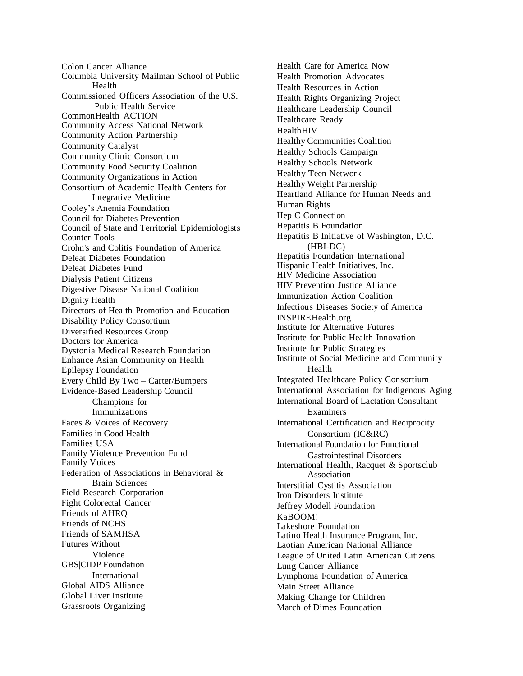Colon Cancer Alliance Columbia University Mailman School of Public Health Commissioned Officers Association of the U.S. Public Health Service CommonHealth ACTION Community Access National Network Community Action Partnership Community Catalyst Community Clinic Consortium Community Food Security Coalition Community Organizations in Action Consortium of Academic Health Centers for Integrative Medicine Cooley's Anemia Foundation Council for Diabetes Prevention Council of State and Territorial Epidemiologists Counter Tools Crohn's and Colitis Foundation of America Defeat Diabetes Foundation Defeat Diabetes Fund Dialysis Patient Citizens Digestive Disease National Coalition Dignity Health Directors of Health Promotion and Education Disability Policy Consortium Diversified Resources Group Doctors for America Dystonia Medical Research Foundation Enhance Asian Community on Health Epilepsy Foundation Every Child By Two – Carter/Bumpers Evidence-Based Leadership Council Champions for Immunizations Faces & Voices of Recovery Families in Good Health Families USA Family Violence Prevention Fund Family Voices Federation of Associations in Behavioral & Brain Sciences Field Research Corporation Fight Colorectal Cancer Friends of AHRQ Friends of NCHS Friends of SAMHSA Futures Without Violence GBS|CIDP Foundation International Global AIDS Alliance Global Liver Institute Grassroots Organizing

Health Care for America Now Health Promotion Advocates Health Resources in Action Health Rights Organizing Project Healthcare Leadership Council Healthcare Ready **HealthHIV** Healthy Communities Coalition Healthy Schools Campaign Healthy Schools Network Healthy Teen Network Healthy Weight Partnership Heartland Alliance for Human Needs and Human Rights Hep C Connection Hepatitis B Foundation Hepatitis B Initiative of Washington, D.C. (HBI-DC) Hepatitis Foundation International Hispanic Health Initiatives, Inc. HIV Medicine Association HIV Prevention Justice Alliance Immunization Action Coalition Infectious Diseases Society of America INSPIREHealth.org Institute for Alternative Futures Institute for Public Health Innovation Institute for Public Strategies Institute of Social Medicine and Community Health Integrated Healthcare Policy Consortium International Association for Indigenous Aging International Board of Lactation Consultant Examiners International Certification and Reciprocity Consortium (IC&RC) International Foundation for Functional Gastrointestinal Disorders International Health, Racquet & Sportsclub Association Interstitial Cystitis Association Iron Disorders Institute Jeffrey Modell Foundation KaBOOM! Lakeshore Foundation Latino Health Insurance Program, Inc. Laotian American National Alliance League of United Latin American Citizens Lung Cancer Alliance Lymphoma Foundation of America Main Street Alliance Making Change for Children March of Dimes Foundation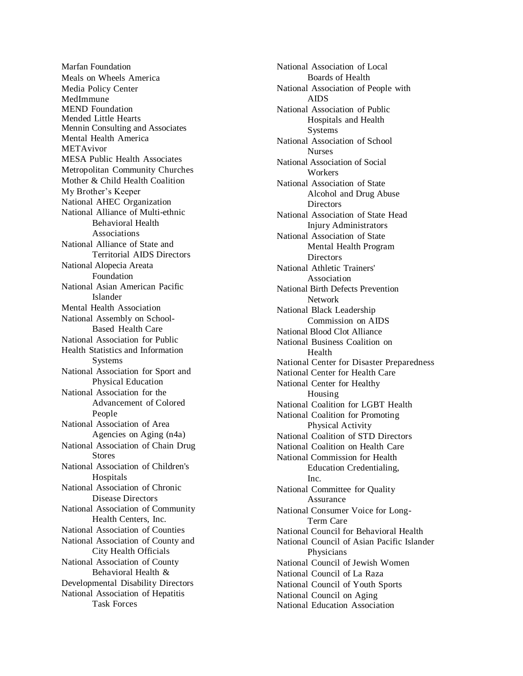Marfan Foundation Meals on Wheels America Media Policy Center MedImmune MEND Foundation Mended Little Hearts Mennin Consulting and Associates Mental Health America METAvivor MESA Public Health Associates Metropolitan Community Churches Mother & Child Health Coalition My Brother's Keeper National AHEC Organ ization National Alliance of Multi-ethnic Behavioral Health Associations National Alliance of State and Territorial AIDS Directors National Alopecia Areata Foundation National Asian American Pacific **I**slander Mental Health Association National Assembly on School-Based Health Care National Association for Public Health Statistics and Information Systems National Association for Sport and Physical Education National Association for the Advancement of Colored People National Association of Area Agencies on Aging (n4a) National Association of Chain Drug S tor es National Association of Children's H o s p itals National Association of Chronic Disease Directors National Association of Community Health Centers, Inc. National Association of Counties National Association of County and City Health Officials National Association of County Behavioral Health & Developmental Disability Directors National Association of Hepatitis Task Forces

National Association of Local Boards of Health National Association of People with A I DS National Association of Public Hospitals and Health Systems National Association of School **Nurses** National Association of Social **Workers** National Association of State Alcohol and Drug Abuse Directors National Association of State Head Injury Administrators National Association of State Mental Health Program Directors National Athletic Trainers' Association National Birth Defects Prevention Network National Black Leadership Commission on AIDS National Blood Clot Alliance National Business Coalition o n Health National Center for Disaster Preparedness National Center for Health Care National Center for Healthy Housing National Coalition for LGBT Health National Coalition for Promoting Physical Activity National Coalition of STD Directors National Coalition on Health Care National Commission for Health Education Credentialing, Inc. National Committee for Quality **Assurance** National Consumer Voice for Long - Term Care National Council for Behavioral Health National Council of Asian Pacific Islander **Physicians** National Council of Jewish Women National Council of La Raza National Council of Youth Sports National Council on Aging National Education Association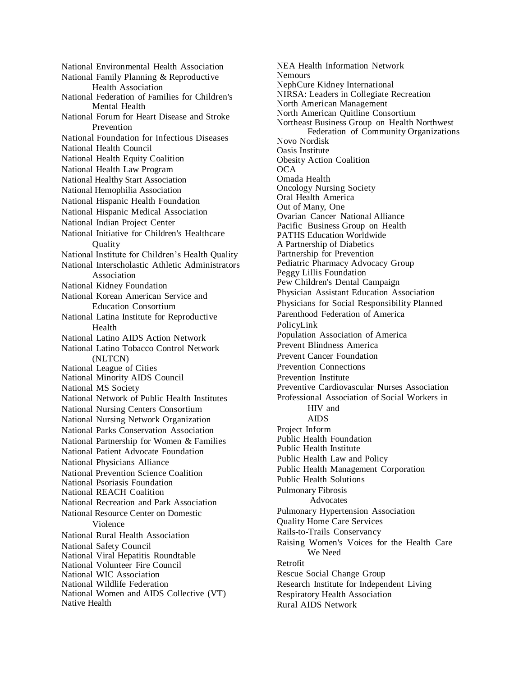National Environmental Health Association National Family Planning & Reproductive Health Association National Federation of Families for Children's Mental Health National Forum for Heart Disease and Stroke Prevention National Foundation for Infectious Diseases National Health Council National Health Equity Coalition National Health Law Program National Healthy Start Association National Hemophilia Association National Hispanic Health Foundation National Hispanic Medical Association National Indian Project Center National Initiative for Children's Healthcare **Ouality** National Institute for Children's Health Quality National Interscholastic Athletic Administrators Association National Kidney Foundation National Korean American Service and Education Consortium National Latina Institute for Reproductive Health National Latino AIDS Action Network National Latino Tobacco Control Network (NLTCN) National League of Cities National Minority AIDS Council National MS Society National Network of Public Health Institutes National Nursing Centers Consortium National Nursing Network Organization National Parks Conservation Association National Partnership for Women & Families National Patient Advocate Foundation National Physicians Alliance National Prevention Science Coalition National Psoriasis Foundation National REACH Coalition National Recreation and Park Association National Resource Center on Domestic Violence National Rural Health Association National Safety Council National Viral Hepatitis Roundtable National Volunteer Fire Council National WIC Association National Wildlife Federation National Women and AIDS Collective (VT) Native Health

NEA Health Information Network **Nemours** NephCure Kidney International NIRSA: Leaders in Collegiate Recreation North American Management North American Quitline Consortium Northeast Business Group on Health Northwest Federation of Community Organizations Novo Nordisk Oasis Institute Obesity Action Coalition **OCA** Omada Health Oncology Nursing Society Oral Health America Out of Many, One Ovarian Cancer National Alliance Pacific Business Group on Health PATHS Education Worldwide A Partnership of Diabetics Partnership for Prevention Pediatric Pharmacy Advocacy Group Peggy Lillis Foundation Pew Children's Dental Campaign Physician Assistant Education Association Physicians for Social Responsibility Planned Parenthood Federation of America PolicyLink Population Association of America Prevent Blindness America Prevent Cancer Foundation Prevention Connections Prevention Institute Preventive Cardiovascular Nurses Association Professional Association of Social Workers in HIV and AIDS Project Inform Public Health Foundation Public Health Institute Public Health Law and Policy Public Health Management Corporation Public Health Solutions Pulmonary Fibrosis Advocates Pulmonary Hypertension Association Quality Home Care Services Rails-to-Trails Conservancy Raising Women's Voices for the Health Care We Need Retrofit Rescue Social Change Group Research Institute for Independent Living Respiratory Health Association Rural AIDS Network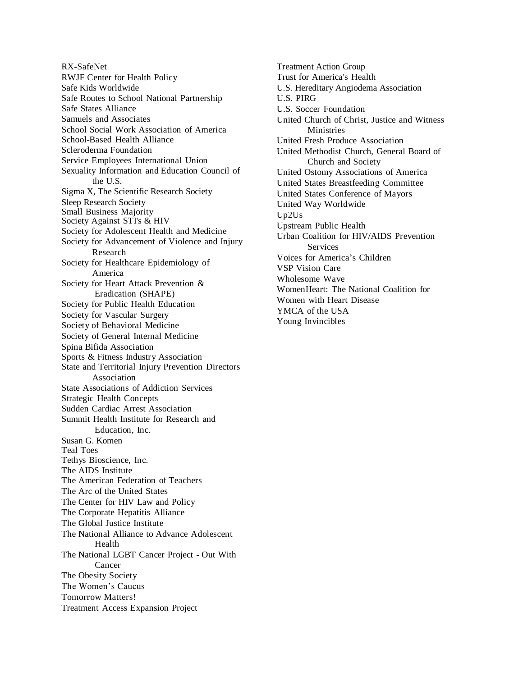RX-SafeNet RWJF Center for Health Policy Safe Kids Worldwide Safe Routes to School National Partnership Safe States Alliance Samuels and Associates School Social Work Association of America School-Based Health Alliance Scleroderma Foundation Service Employees International Union Sexuality Information and Education Council of the U.S. Sigma X, The Scientific Research Society Sleep Research Society Small Business Majority Society Against STI's & HIV Society for Adolescent Health and Medicine Society for Advancement of Violence and Injury Research Society for Healthcare Epidemiology of America Society for Heart Attack Prevention & Eradication (SHAPE) Society for Public Health Education Society for Vascular Surgery Society of Behavioral Medicine Society of General Internal Medicine Spina Bifida Association Sports & Fitness Industry Association State and Territorial Injury Prevention Directors Association State Associations of Addiction Services Strategic Health Concepts Sudden Cardiac Arrest Association Summit Health Institute for Research and Education, Inc. Susan G. Komen Teal Toes Tethys Bioscience, Inc. The AIDS Institute The American Federation of Teachers The Arc of the United States The Center for HIV Law and Policy The Corporate Hepatitis Alliance The Global Justice Institute The National Alliance to Advance Adolescent Health The National LGBT Cancer Project - Out With Cancer The Obesity Society The Women's Caucus Tomorrow Matters! Treatment Access Expansion Project

Treatment Action Group Trust for America's Health U.S. Hereditary Angiodema Association U.S. PIRG U.S. Soccer Foundation United Church of Christ, Justice and Witness **Ministries** United Fresh Produce Association United Methodist Church, General Board of Church and Society United Ostomy Associations of America United States Breastfeeding Committee United States Conference of Mayors United Way Worldwide Up2Us Upstream Public Health Urban Coalition for HIV/AIDS Prevention Services Voices for America's Children VSP Vision Care Wholesome Wave WomenHeart: The National Coalition for Women with Heart Disease YMCA of the USA Young Invincibles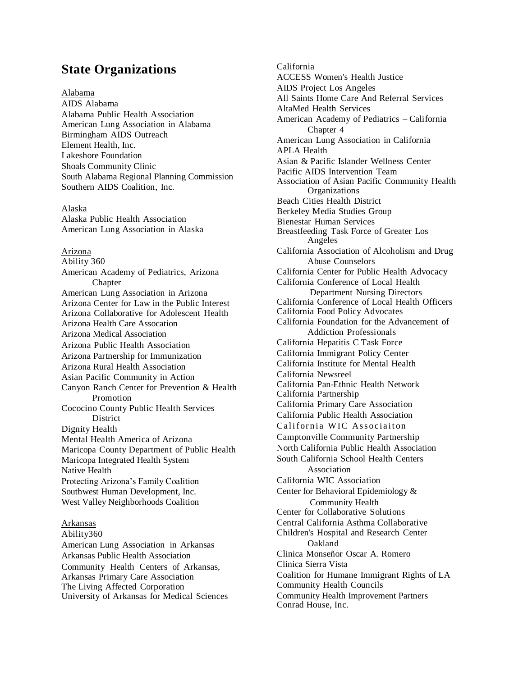## **State Organizations**

## Alabama

AIDS Alabama Alabama Public Health Association American Lung Association in Alabama Birmingham AIDS Outreach Element Health, Inc. Lakeshore Foundation Shoals Community Clinic South Alabama Regional Planning Commission Southern AIDS Coalition, Inc.

## Alaska

Alaska Public Health Association American Lung Association in Alaska

#### Arizona

Ability 360 American Academy of Pediatrics, Arizona **Chapter** American Lung Association in Arizona Arizona Center for Law in the Public Interest Arizona Collaborative for Adolescent Health Arizona Health Care Assocation Arizona Medical Association Arizona Public Health Association Arizona Partnership for Immunization Arizona Rural Health Association Asian Pacific Community in Action Canyon Ranch Center for Prevention & Health Promotion Cococino County Public Health Services **District** Dignity Health Mental Health America of Arizona Maricopa County Department of Public Health Maricopa Integrated Health System Native Health Protecting Arizona's Family Coalition Southwest Human Development, Inc. West Valley Neighborhoods Coalition

## Arkansas

Ability360 American Lung Association in Arkansas Arkansas Public Health Association Community Health Centers of Arkansas, Arkansas Primary Care Association The Living Affected Corporation University of Arkansas for Medical Sciences California ACCESS Women's Health Justice AIDS Project Los Angeles All Saints Home Care And Referral Services AltaMed Health Services American Academy of Pediatrics – California Chapter 4 American Lung Association in California APLA Health Asian & Pacific Islander Wellness Center Pacific AIDS Intervention Team Association of Asian Pacific Community Health **Organizations** Beach Cities Health District Berkeley Media Studies Group Bienestar Human Services Breastfeeding Task Force of Greater Los Angeles California Association of Alcoholism and Drug Abuse Counselors California Center for Public Health Advocacy California Conference of Local Health Department Nursing Directors California Conference of Local Health Officers California Food Policy Advocates California Foundation for the Advancement of Addiction Professionals California Hepatitis C Task Force California Immigrant Policy Center California Institute for Mental Health California Newsreel California Pan-Ethnic Health Network California Partnership California Primary Care Association California Public Health Association California WIC Associaiton Camptonville Community Partnership North California Public Health Association South California School Health Centers Association California WIC Association Center for Behavioral Epidemiology & Community Health Center for Collaborative Solutions Central California Asthma Collaborative Children's Hospital and Research Center Oakland Clinica Monseñor Oscar A. Romero Clinica Sierra Vista Coalition for Humane Immigrant Rights of LA Community Health Councils Community Health Improvement Partners Conrad House, Inc.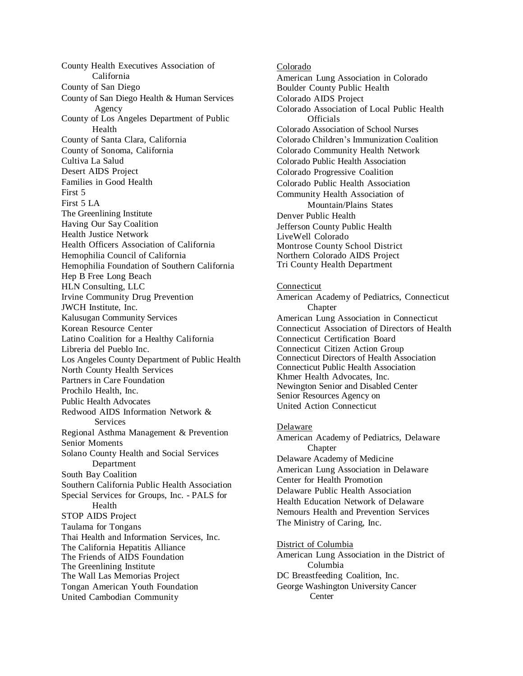County Health Executives Association of California County of San Diego County of San Diego Health & Human Services Agency County of Los Angeles Department of Public Health County of Santa Clara, California County of Sonoma, California Cultiva La Salud Desert AIDS Project Families in Good Health First 5 First 5 LA The Greenlining Institute Having Our Say Coalition Health Justice Network Health Officers Association of California Hemophilia Council of California Hemophilia Foundation of Southern California Hep B Free Long Beach HLN Consulting, LLC Irvine Community Drug Prevention JWCH Institute, Inc. Kalusugan Community Services Korean Resource Center Latino Coalition for a Healthy California Libreria del Pueblo Inc. Los Angeles County Department of Public Health North County Health Services Partners in Care Foundation Prochilo Health, Inc. Public Health Advocates Redwood AIDS Information Network & **Services** Regional Asthma Management & Prevention Senior Moments Solano County Health and Social Services Department South Bay Coalition Southern California Public Health Association Special Services for Groups, Inc. - PALS for Health STOP AIDS Project Taulama for Tongans Thai Health and Information Services, Inc. The California Hepatitis Alliance The Friends of AIDS Foundation The Greenlining Institute The Wall Las Memorias Project Tongan American Youth Foundation United Cambodian Community

Colorado American Lung Association in Colorado Boulder County Public Health Colorado AIDS Project Colorado Association of Local Public Health **Officials** Colorado Association of School Nurses Colorado Children's Immunization Coalition Colorado Community Health Network Colorado Public Health Association Colorado Progressive Coalition Colorado Public Health Association Community Health Association of Mountain/Plains States Denver Public Health Jefferson County Public Health LiveWell Colorado Montrose County School District Northern Colorado AIDS Project Tri County Health Department

## Connecticut

American Academy of Pediatrics, Connecticut Chapter American Lung Association in Connecticut Connecticut Association of Directors of Health Connecticut Certification Board Connecticut Citizen Action Group Connecticut Directors of Health Association Connecticut Public Health Association Khmer Health Advocates, Inc. Newington Senior and Disabled Center Senior Resources Agency on United Action Connecticut

## Delaware

American Academy of Pediatrics, Delaware **Chapter** Delaware Academy of Medicine American Lung Association in Delaware Center for Health Promotion Delaware Public Health Association Health Education Network of Delaware Nemours Health and Prevention Services The Ministry of Caring, Inc. District of Columbia

American Lung Association in the District of Columbia DC Breastfeeding Coalition, Inc. George Washington University Cancer **Center**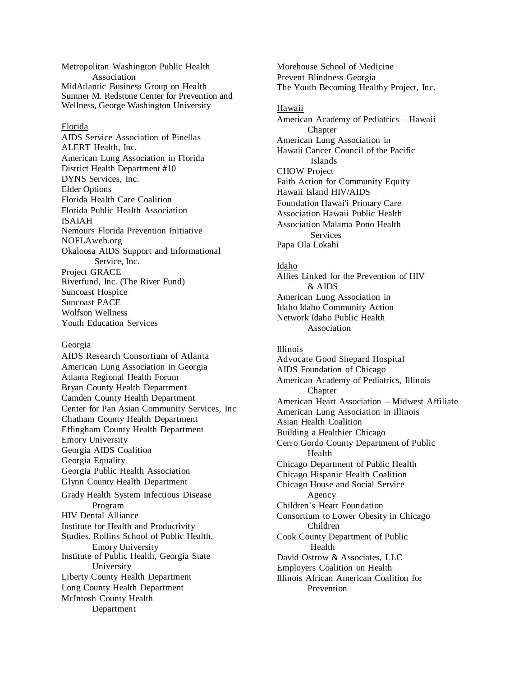Metropolitan Washington Public Health Association MidAtlantic Business Group on Health Sumner M. Redstone Center for Prevention and Wellness, George Washington University

## Florida

AIDS Service Association of Pinellas ALERT Health, Inc. American Lung Association in Florida District Health Department #10 DYNS Services, Inc. Elder Options Florida Health Care Coalition Florida Public Health Association ISAIAH Nemours Florida Prevention Initiative NOFLAweb.org Okaloosa AIDS Support and Informational Service, Inc. Project GRACE Riverfund, Inc. (The River Fund) Suncoast Hospice Suncoast PACE Wolfson Wellness Youth Education Services

#### Georgia

AIDS Research Consortium of Atlanta American Lung Association in Georgia Atlanta Regional Health Forum Bryan County Health Department Camden County Health Department Center for Pan Asian Community Services, Inc Chatham County Health Department Effingham County Health Department Emory University Georgia AIDS Coalition Georgia Equality Georgia Public Health Association Glynn County Health Department Grady Health System Infectious Disease Program HIV Dental Alliance Institute for Health and Productivity Studies, Rollins School of Public Health, Emory University Institute of Public Health, Georgia State University Liberty County Health Department Long County Health Department McIntosh County Health Department

Morehouse School of Medicine Prevent Blindness Georgia The Youth Becoming Healthy Project, Inc.

Hawaii American Academy of Pediatrics – Hawaii **Chapter** American Lung Association in Hawaii Cancer Council of the Pacific Islands CHOW Project Faith Action for Community Equity Hawaii Island HIV/AIDS Foundation Hawai'i Primary Care Association Hawaii Public Health Association Malama Pono Health Services Papa Ola Lokahi

#### Idaho

Allies Linked for the Prevention of HIV  $&$  AIDS American Lung Association in Idaho Idaho Community Action Network Idaho Public Health Association

Illinois Advocate Good Shepard Hospital AIDS Foundation of Chicago American Academy of Pediatrics, Illinois **Chapter** American Heart Association – Midwest Affiliate American Lung Association in Illinois Asian Health Coalition Building a Healthier Chicago Cerro Gordo County Department of Public Health Chicago Department of Public Health Chicago Hispanic Health Coalition Chicago House and Social Service Agency Children's Heart Foundation Consortium to Lower Obesity in Chicago Children Cook County Department of Public Health David Ostrow & Associates, LLC Employers Coalition on Health Illinois African American Coalition for Prevention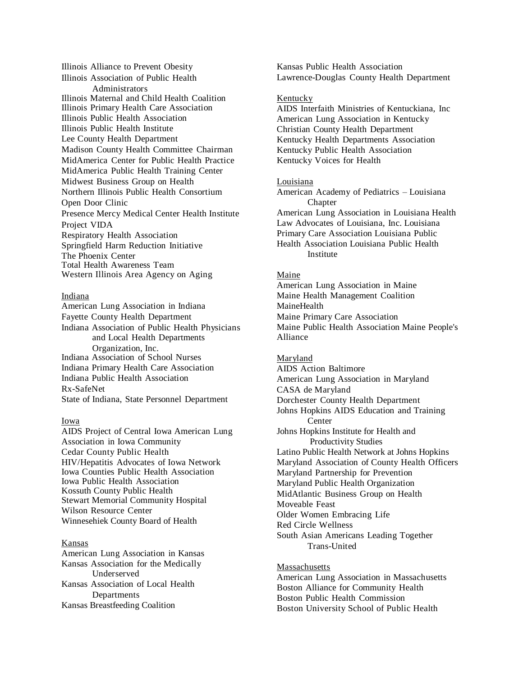Illinois Alliance to Prevent Obesity Illinois Association of Public Health **Administrators** Illinois Maternal and Child Health Coalition Illinois Primary Health Care Association Illinois Public Health Association Illinois Public Health Institute Lee County Health Department Madison County Health Committee Chairman MidAmerica Center for Public Health Practice MidAmerica Public Health Training Center Midwest Business Group on Health Northern Illinois Public Health Consortium Open Door Clinic Presence Mercy Medical Center Health Institute Project VIDA Respiratory Health Association Springfield Harm Reduction Initiative The Phoenix Center Total Health Awareness Team Western Illinois Area Agency on Aging

## Indiana

American Lung Association in Indiana Fayette County Health Department Indiana Association of Public Health Physicians and Local Health Departments Organization, Inc. Indiana Association of School Nurses Indiana Primary Health Care Association Indiana Public Health Association Rx-SafeNet State of Indiana, State Personnel Department

## Iowa

AIDS Project of Central Iowa American Lung Association in Iowa Community Cedar County Public Health HIV/Hepatitis Advocates of Iowa Network Iowa Counties Public Health Association Iowa Public Health Association Kossuth County Public Health Stewart Memorial Community Hospital Wilson Resource Center Winnesehiek County Board of Health

## Kansas

American Lung Association in Kansas Kansas Association for the Medically Underserved Kansas Association of Local Health **Departments** Kansas Breastfeeding Coalition

Kansas Public Health Association Lawrence-Douglas County Health Department

## Kentucky

AIDS Interfaith Ministries of Kentuckiana, Inc American Lung Association in Kentucky Christian County Health Department Kentucky Health Departments Association Kentucky Public Health Association Kentucky Voices for Health

#### Louisiana

American Academy of Pediatrics – Louisiana **Chapter** American Lung Association in Louisiana Health Law Advocates of Louisiana, Inc. Louisiana Primary Care Association Louisiana Public Health Association Louisiana Public Health Institute

#### Maine

American Lung Association in Maine Maine Health Management Coalition MaineHealth Maine Primary Care Association Maine Public Health Association Maine People's Alliance

#### Maryland

AIDS Action Baltimore American Lung Association in Maryland CASA de Maryland Dorchester County Health Department Johns Hopkins AIDS Education and Training Center Johns Hopkins Institute for Health and Productivity Studies Latino Public Health Network at Johns Hopkins Maryland Association of County Health Officers Maryland Partnership for Prevention Maryland Public Health Organization MidAtlantic Business Group on Health Moveable Feast Older Women Embracing Life Red Circle Wellness South Asian Americans Leading Together Trans-United

Massachusetts American Lung Association in Massachusetts Boston Alliance for Community Health Boston Public Health Commission Boston University School of Public Health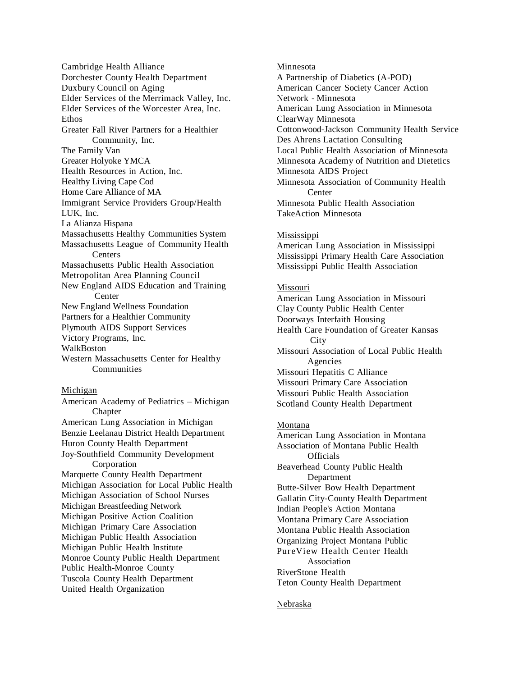Cambridge Health Alliance Dorchester County Health Department Duxbury Council on Aging Elder Services of the Merrimack Valley, Inc. Elder Services of the Worcester Area, Inc. Ethos Greater Fall River Partners for a Healthier Community, Inc. The Family Van Greater Holyoke YMCA Health Resources in Action, Inc. Healthy Living Cape Cod Home Care Alliance of MA Immigrant Service Providers Group/Health LUK, Inc. La Alianza Hispana Massachusetts Healthy Communities System Massachusetts League of Community Health Centers Massachusetts Public Health Association Metropolitan Area Planning Council New England AIDS Education and Training Center New England Wellness Foundation Partners for a Healthier Community Plymouth AIDS Support Services Victory Programs, Inc. WalkBoston Western Massachusetts Center for Healthy **Communities** 

## Michigan

American Academy of Pediatrics – Michigan Chapter American Lung Association in Michigan Benzie Leelanau District Health Department Huron County Health Department Joy-Southfield Community Development Corporation Marquette County Health Department Michigan Association for Local Public Health Michigan Association of School Nurses Michigan Breastfeeding Network Michigan Positive Action Coalition Michigan Primary Care Association Michigan Public Health Association Michigan Public Health Institute Monroe County Public Health Department Public Health-Monroe County Tuscola County Health Department United Health Organization

Minnesota A Partnership of Diabetics (A-POD) American Cancer Society Cancer Action Network - Minnesota American Lung Association in Minnesota ClearWay Minnesota Cottonwood-Jackson Community Health Service Des Ahrens Lactation Consulting Local Public Health Association of Minnesota Minnesota Academy of Nutrition and Dietetics Minnesota AIDS Project Minnesota Association of Community Health **Center** Minnesota Public Health Association TakeAction Minnesota

#### **Mississippi**

American Lung Association in Mississippi Mississippi Primary Health Care Association Mississippi Public Health Association

## Missouri

American Lung Association in Missouri Clay County Public Health Center Doorways Interfaith Housing Health Care Foundation of Greater Kansas **C**ity Missouri Association of Local Public Health Agencies Missouri Hepatitis C Alliance Missouri Primary Care Association Missouri Public Health Association Scotland County Health Department

## Montana

American Lung Association in Montana Association of Montana Public Health **Officials** Beaverhead County Public Health Department Butte-Silver Bow Health Department Gallatin City-County Health Department Indian People's Action Montana Montana Primary Care Association Montana Public Health Association Organizing Project Montana Public PureView Health Center Health Association RiverStone Health Teton County Health Department

## Nebraska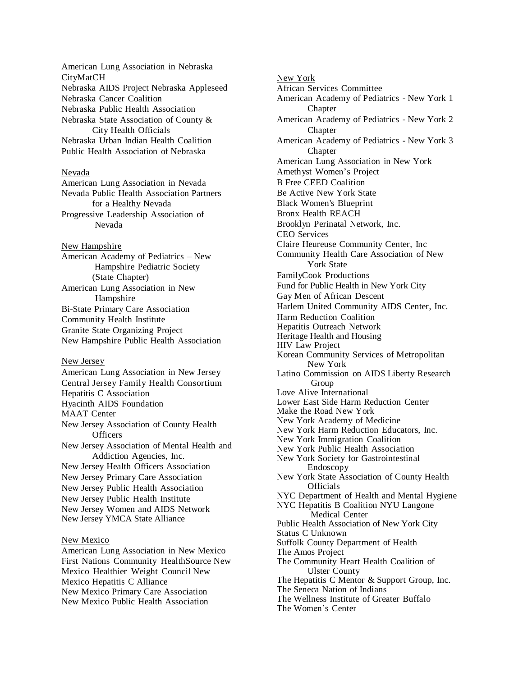American Lung Association in Nebraska CityMatCH Nebraska AIDS Project Nebraska Appleseed Nebraska Cancer Coalition Nebraska Public Health Association Nebraska State Association of County & City Health Officials Nebraska Urban Indian Health Coalition Public Health Association of Nebraska

#### Nevada

American Lung Association in Nevada Nevada Public Health Association Partners for a Healthy Nevada Progressive Leadership Association of Nevada

New Hampshire American Academy of Pediatrics – New Hampshire Pediatric Society (State Chapter) American Lung Association in New Hampshire Bi-State Primary Care Association Community Health Institute Granite State Organizing Project New Hampshire Public Health Association

New Jersey American Lung Association in New Jersey Central Jersey Family Health Consortium Hepatitis C Association Hyacinth AIDS Foundation MAAT Center New Jersey Association of County Health **Officers** New Jersey Association of Mental Health and Addiction Agencies, Inc. New Jersey Health Officers Association New Jersey Primary Care Association New Jersey Public Health Association New Jersey Public Health Institute New Jersey Women and AIDS Network New Jersey YMCA State Alliance

## New Mexico

American Lung Association in New Mexico First Nations Community HealthSource New Mexico Healthier Weight Council New Mexico Hepatitis C Alliance New Mexico Primary Care Association New Mexico Public Health Association

New York African Services Committee American Academy of Pediatrics - New York 1 Chapter American Academy of Pediatrics - New York 2 **Chapter** American Academy of Pediatrics - New York 3 Chapter American Lung Association in New York Amethyst Women's Project B Free CEED Coalition Be Active New York State Black Women's Blueprint Bronx Health REACH Brooklyn Perinatal Network, Inc. CEO Services Claire Heureuse Community Center, Inc Community Health Care Association of New York State FamilyCook Productions Fund for Public Health in New York City Gay Men of African Descent Harlem United Community AIDS Center, Inc. Harm Reduction Coalition Hepatitis Outreach Network Heritage Health and Housing HIV Law Project Korean Community Services of Metropolitan New York Latino Commission on AIDS Liberty Research Group Love Alive International Lower East Side Harm Reduction Center Make the Road New York New York Academy of Medicine New York Harm Reduction Educators, Inc. New York Immigration Coalition New York Public Health Association New York Society for Gastrointestinal Endoscopy New York State Association of County Health Officials NYC Department of Health and Mental Hygiene NYC Hepatitis B Coalition NYU Langone Medical Center Public Health Association of New York City Status C Unknown Suffolk County Department of Health The Amos Project The Community Heart Health Coalition of Ulster County The Hepatitis C Mentor & Support Group, Inc. The Seneca Nation of Indians The Wellness Institute of Greater Buffalo

The Women's Center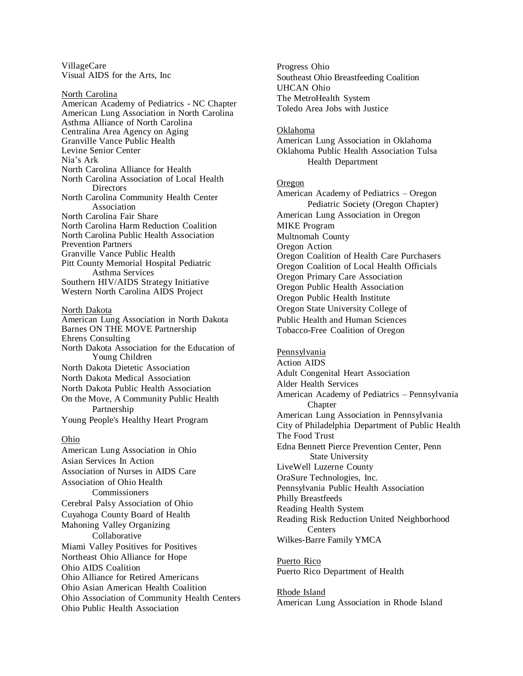VillageCare Visual AIDS for the Arts, Inc

North Carolina American Academy of Pediatrics - NC Chapter American Lung Association in North Carolina Asthma Alliance of North Carolina Centralina Area Agency on Aging Granville Vance Public Health Levine Senior Center Nia's Ark North Carolina Alliance for Health North Carolina Association of Local Health **Directors** North Carolina Community Health Center Association North Carolina Fair Share North Carolina Harm Reduction Coalition North Carolina Public Health Association Prevention Partners Granville Vance Public Health Pitt County Memorial Hospital Pediatric Asthma Services Southern HIV/AIDS Strategy Initiative Western North Carolina AIDS Project

## North Dakota

American Lung Association in North Dakota Barnes ON THE MOVE Partnership Ehrens Consulting North Dakota Association for the Education of Young Children North Dakota Dietetic Association North Dakota Medical Association North Dakota Public Health Association On the Move, A Community Public Health Partnership Young People's Healthy Heart Program

#### Ohio

American Lung Association in Ohio Asian Services In Action Association of Nurses in AIDS Care Association of Ohio Health Commissioners Cerebral Palsy Association of Ohio Cuyahoga County Board of Health Mahoning Valley Organizing Collaborative Miami Valley Positives for Positives Northeast Ohio Alliance for Hope Ohio AIDS Coalition Ohio Alliance for Retired Americans Ohio Asian American Health Coalition Ohio Association of Community Health Centers Ohio Public Health Association

Progress Ohio Southeast Ohio Breastfeeding Coalition UHCAN Ohio The MetroHealth System Toledo Area Jobs with Justice

#### Oklahoma

American Lung Association in Oklahoma Oklahoma Public Health Association Tulsa Health Department

## Oregon

American Academy of Pediatrics – Oregon Pediatric Society (Oregon Chapter) American Lung Association in Oregon MIKE Program Multnomah County Oregon Action Oregon Coalition of Health Care Purchasers Oregon Coalition of Local Health Officials Oregon Primary Care Association Oregon Public Health Association Oregon Public Health Institute Oregon State University College of Public Health and Human Sciences Tobacco-Free Coalition of Oregon

## Pennsylvania

Action AIDS Adult Congenital Heart Association Alder Health Services American Academy of Pediatrics – Pennsylvania Chapter American Lung Association in Pennsylvania City of Philadelphia Department of Public Health The Food Trust Edna Bennett Pierce Prevention Center, Penn State University LiveWell Luzerne County OraSure Technologies, Inc. Pennsylvania Public Health Association Philly Breastfeeds Reading Health System Reading Risk Reduction United Neighborhood Centers Wilkes-Barre Family YMCA

Puerto Rico Puerto Rico Department of Health

Rhode Island American Lung Association in Rhode Island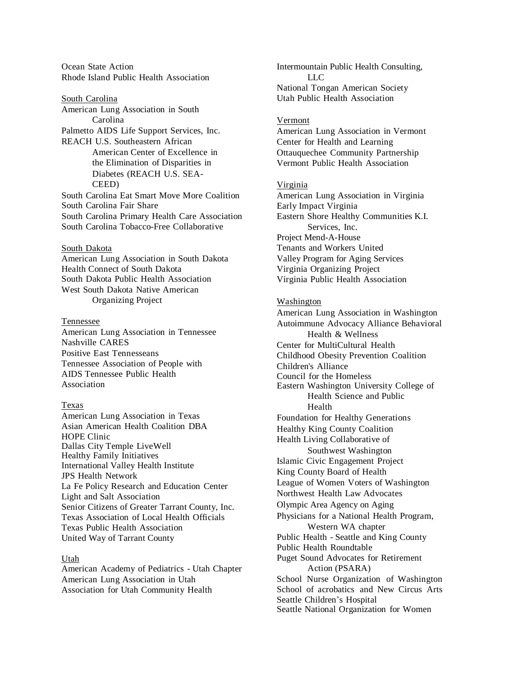Ocean State Action Rhode Island Public Health Association

South Carolina American Lung Association in South Carolina Palmetto AIDS Life Support Services, Inc. REACH U.S. Southeastern African American Center of Excellence in the Elimination of Disparities in Diabetes (REACH U.S. SEA-CEED) South Carolina Eat Smart Move More Coalition South Carolina Fair Share South Carolina Primary Health Care Association South Carolina Tobacco-Free Collaborative

#### South Dakota

American Lung Association in South Dakota Health Connect of South Dakota South Dakota Public Health Association West South Dakota Native American Organizing Project

#### Tennessee

American Lung Association in Tennessee Nashville CARES Positive East Tennesseans Tennessee Association of People with AIDS Tennessee Public Health Association

## Texas

American Lung Association in Texas Asian American Health Coalition DBA HOPE Clinic Dallas City Temple LiveWell Healthy Family Initiatives International Valley Health Institute JPS Health Network La Fe Policy Research and Education Center Light and Salt Association Senior Citizens of Greater Tarrant County, Inc. Texas Association of Local Health Officials Texas Public Health Association United Way of Tarrant County

#### Utah

American Academy of Pediatrics - Utah Chapter American Lung Association in Utah Association for Utah Community Health

Intermountain Public Health Consulting, LLC National Tongan American Society Utah Public Health Association

#### Vermont

American Lung Association in Vermont Center for Health and Learning Ottauquechee Community Partnership Vermont Public Health Association

#### Virginia

American Lung Association in Virginia Early Impact Virginia Eastern Shore Healthy Communities K.I. Services, Inc. Project Mend-A-House Tenants and Workers United Valley Program for Aging Services Virginia Organizing Project Virginia Public Health Association

### Washington

American Lung Association in Washington Autoimmune Advocacy Alliance Behavioral Health & Wellness Center for MultiCultural Health Childhood Obesity Prevention Coalition Children's Alliance Council for the Homeless Eastern Washington University College of Health Science and Public Health Foundation for Healthy Generations Healthy King County Coalition Health Living Collaborative of Southwest Washington Islamic Civic Engagement Project King County Board of Health League of Women Voters of Washington Northwest Health Law Advocates Olympic Area Agency on Aging Physicians for a National Health Program, Western WA chapter Public Health - Seattle and King County Public Health Roundtable Puget Sound Advocates for Retirement Action (PSARA) School Nurse Organization of Washington School of acrobatics and New Circus Arts Seattle Children's Hospital

Seattle National Organization for Women